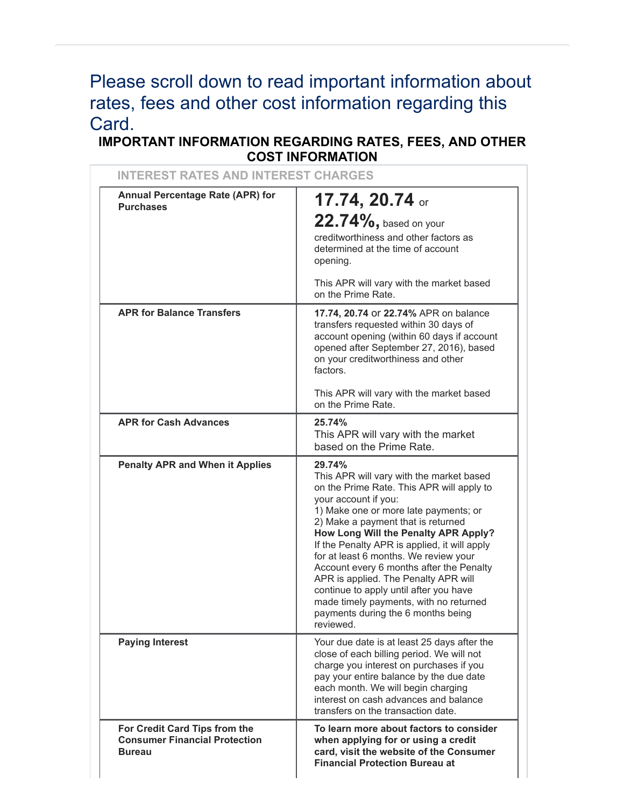# Please scroll down to read important information about rates, fees and other cost information regarding this Card.

# **IMPORTANT INFORMATION REGARDING RATES, FEES, AND OTHER COST INFORMATION**

| <b>INTEREST RATES AND INTEREST CHARGES</b>                                             |                                                                                                                                                                                                                                                                                                                                                                                                                                                                                                                                                                    |
|----------------------------------------------------------------------------------------|--------------------------------------------------------------------------------------------------------------------------------------------------------------------------------------------------------------------------------------------------------------------------------------------------------------------------------------------------------------------------------------------------------------------------------------------------------------------------------------------------------------------------------------------------------------------|
| Annual Percentage Rate (APR) for<br><b>Purchases</b>                                   | 17.74, 20.74 or<br>$22.74\%$ , based on your<br>creditworthiness and other factors as<br>determined at the time of account<br>opening.<br>This APR will vary with the market based<br>on the Prime Rate.                                                                                                                                                                                                                                                                                                                                                           |
| <b>APR for Balance Transfers</b>                                                       | 17.74, 20.74 or 22.74% APR on balance<br>transfers requested within 30 days of<br>account opening (within 60 days if account<br>opened after September 27, 2016), based<br>on your creditworthiness and other<br>factors.                                                                                                                                                                                                                                                                                                                                          |
|                                                                                        | This APR will vary with the market based<br>on the Prime Rate.                                                                                                                                                                                                                                                                                                                                                                                                                                                                                                     |
| <b>APR for Cash Advances</b>                                                           | 25.74%<br>This APR will vary with the market<br>based on the Prime Rate.                                                                                                                                                                                                                                                                                                                                                                                                                                                                                           |
| <b>Penalty APR and When it Applies</b>                                                 | 29.74%<br>This APR will vary with the market based<br>on the Prime Rate. This APR will apply to<br>your account if you:<br>1) Make one or more late payments; or<br>2) Make a payment that is returned<br>How Long Will the Penalty APR Apply?<br>If the Penalty APR is applied, it will apply<br>for at least 6 months. We review your<br>Account every 6 months after the Penalty<br>APR is applied. The Penalty APR will<br>continue to apply until after you have<br>made timely payments, with no returned<br>payments during the 6 months being<br>reviewed. |
| <b>Paying Interest</b>                                                                 | Your due date is at least 25 days after the<br>close of each billing period. We will not<br>charge you interest on purchases if you<br>pay your entire balance by the due date<br>each month. We will begin charging<br>interest on cash advances and balance<br>transfers on the transaction date.                                                                                                                                                                                                                                                                |
| For Credit Card Tips from the<br><b>Consumer Financial Protection</b><br><b>Bureau</b> | To learn more about factors to consider<br>when applying for or using a credit<br>card, visit the website of the Consumer<br><b>Financial Protection Bureau at</b>                                                                                                                                                                                                                                                                                                                                                                                                 |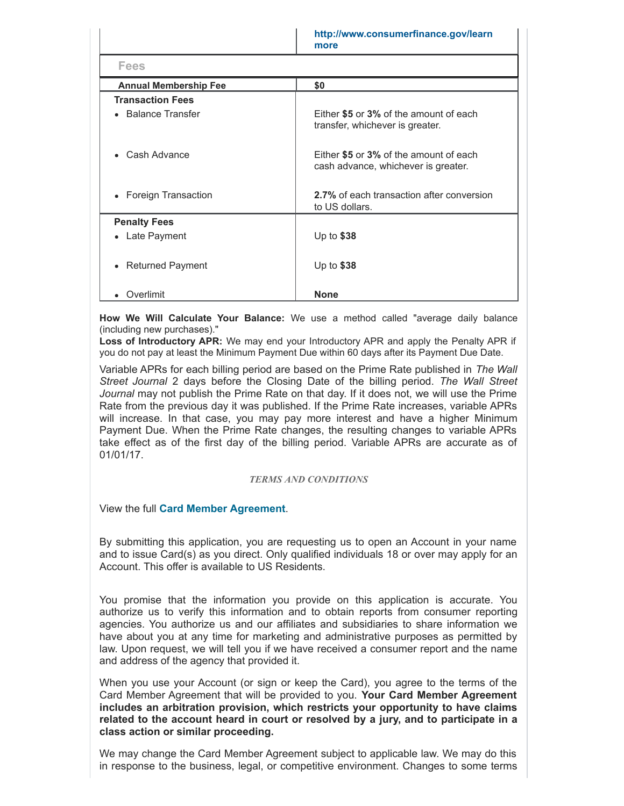|                              | http://www.consumerfinance.gov/learn<br>more                                  |  |
|------------------------------|-------------------------------------------------------------------------------|--|
| <b>Fees</b>                  |                                                                               |  |
| <b>Annual Membership Fee</b> | \$0                                                                           |  |
| <b>Transaction Fees</b>      |                                                                               |  |
| • Balance Transfer           | Either \$5 or 3% of the amount of each<br>transfer, whichever is greater.     |  |
| • Cash Advance               | Either \$5 or 3% of the amount of each<br>cash advance, whichever is greater. |  |
| • Foreign Transaction        | 2.7% of each transaction after conversion<br>to US dollars.                   |  |
| <b>Penalty Fees</b>          |                                                                               |  |
| • Late Payment               | Up to $$38$                                                                   |  |
| • Returned Payment           | Up to $$38$                                                                   |  |
| Overlimit                    | <b>None</b>                                                                   |  |

**How We Will Calculate Your Balance:** We use a method called "average daily balance (including new purchases)."

**Loss of Introductory APR:** We may end your Introductory APR and apply the Penalty APR if you do not pay at least the Minimum Payment Due within 60 days after its Payment Due Date.

Variable APRs for each billing period are based on the Prime Rate published in *The Wall Street Journal* 2 days before the Closing Date of the billing period. *The Wall Street Journal* may not publish the Prime Rate on that day. If it does not, we will use the Prime Rate from the previous day it was published. If the Prime Rate increases, variable APRs will increase. In that case, you may pay more interest and have a higher Minimum Payment Due. When the Prime Rate changes, the resulting changes to variable APRs take effect as of the first day of the billing period. Variable APRs are accurate as of 01/01/17.

#### *TERMS AND CONDITIONS*

View the full **Card Member [Agreement](https://www.americanexpress.com/us/content/cardmember-agreements/all-us.html)**.

By submitting this application, you are requesting us to open an Account in your name and to issue Card(s) as you direct. Only qualified individuals 18 or over may apply for an Account. This offer is available to US Residents.

You promise that the information you provide on this application is accurate. You authorize us to verify this information and to obtain reports from consumer reporting agencies. You authorize us and our affiliates and subsidiaries to share information we have about you at any time for marketing and administrative purposes as permitted by law. Upon request, we will tell you if we have received a consumer report and the name and address of the agency that provided it.

When you use your Account (or sign or keep the Card), you agree to the terms of the Card Member Agreement that will be provided to you. **Your Card Member Agreement includes an arbitration provision, which restricts your opportunity to have claims related to the account heard in court or resolved by a jury, and to participate in a class action or similar proceeding.**

We may change the Card Member Agreement subject to applicable law. We may do this in response to the business, legal, or competitive environment. Changes to some terms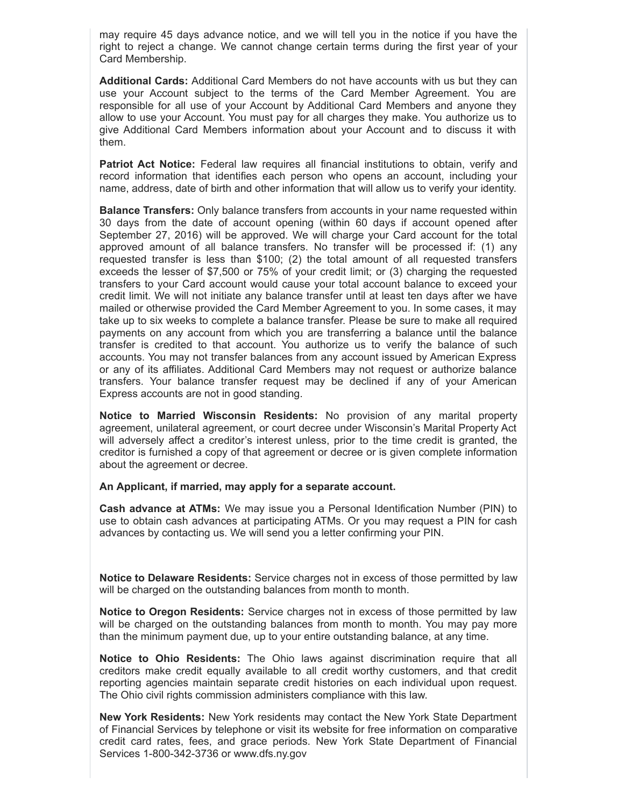may require 45 days advance notice, and we will tell you in the notice if you have the right to reject a change. We cannot change certain terms during the first year of your Card Membership.

**Additional Cards:** Additional Card Members do not have accounts with us but they can use your Account subject to the terms of the Card Member Agreement. You are responsible for all use of your Account by Additional Card Members and anyone they allow to use your Account. You must pay for all charges they make. You authorize us to give Additional Card Members information about your Account and to discuss it with them.

**Patriot Act Notice:** Federal law requires all financial institutions to obtain, verify and record information that identifies each person who opens an account, including your name, address, date of birth and other information that will allow us to verify your identity.

**Balance Transfers:** Only balance transfers from accounts in your name requested within 30 days from the date of account opening (within 60 days if account opened after September 27, 2016) will be approved. We will charge your Card account for the total approved amount of all balance transfers. No transfer will be processed if: (1) any requested transfer is less than \$100; (2) the total amount of all requested transfers exceeds the lesser of \$7,500 or 75% of your credit limit; or (3) charging the requested transfers to your Card account would cause your total account balance to exceed your credit limit. We will not initiate any balance transfer until at least ten days after we have mailed or otherwise provided the Card Member Agreement to you. In some cases, it may take up to six weeks to complete a balance transfer. Please be sure to make all required payments on any account from which you are transferring a balance until the balance transfer is credited to that account. You authorize us to verify the balance of such accounts. You may not transfer balances from any account issued by American Express or any of its affiliates. Additional Card Members may not request or authorize balance transfers. Your balance transfer request may be declined if any of your American Express accounts are not in good standing.

**Notice to Married Wisconsin Residents:** No provision of any marital property agreement, unilateral agreement, or court decree under Wisconsin's Marital Property Act will adversely affect a creditor's interest unless, prior to the time credit is granted, the creditor is furnished a copy of that agreement or decree or is given complete information about the agreement or decree.

**An Applicant, if married, may apply for a separate account.**

**Cash advance at ATMs:** We may issue you a Personal Identification Number (PIN) to use to obtain cash advances at participating ATMs. Or you may request a PIN for cash advances by contacting us. We will send you a letter confirming your PIN.

**Notice to Delaware Residents:** Service charges not in excess of those permitted by law will be charged on the outstanding balances from month to month.

**Notice to Oregon Residents:** Service charges not in excess of those permitted by law will be charged on the outstanding balances from month to month. You may pay more than the minimum payment due, up to your entire outstanding balance, at any time.

**Notice to Ohio Residents:** The Ohio laws against discrimination require that all creditors make credit equally available to all credit worthy customers, and that credit reporting agencies maintain separate credit histories on each individual upon request. The Ohio civil rights commission administers compliance with this law.

**New York Residents:** New York residents may contact the New York State Department of Financial Services by telephone or visit its website for free information on comparative credit card rates, fees, and grace periods. New York State Department of Financial Services 1-800-342-3736 or www.dfs.ny.gov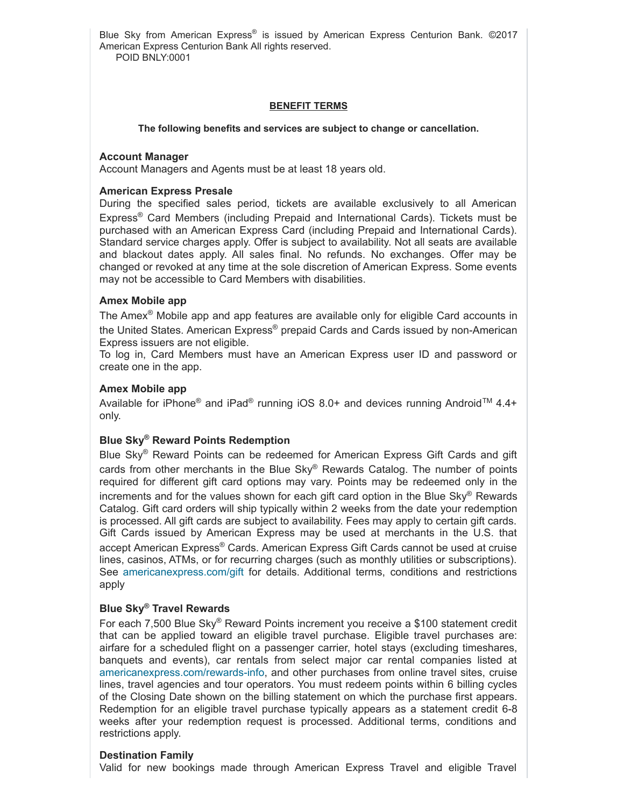Blue Sky from American Express® is issued by American Express Centurion Bank. ©2017 American Express Centurion Bank All rights reserved. POID BNLY:0001

# **BENEFIT TERMS**

#### **The following benefits and services are subject to change or cancellation.**

#### **Account Manager**

Account Managers and Agents must be at least 18 years old.

# **American Express Presale**

During the specified sales period, tickets are available exclusively to all American Express ® Card Members (including Prepaid and International Cards). Tickets must be purchased with an American Express Card (including Prepaid and International Cards). Standard service charges apply. Offer is subject to availability. Not all seats are available and blackout dates apply. All sales final. No refunds. No exchanges. Offer may be changed or revoked at any time at the sole discretion of American Express. Some events may not be accessible to Card Members with disabilities.

# **Amex Mobile app**

The Amex<sup>®</sup> Mobile app and app features are available only for eligible Card accounts in the United States. American Express® prepaid Cards and Cards issued by non-American Express issuers are not eligible.

To log in, Card Members must have an American Express user ID and password or create one in the app.

# **Amex Mobile app**

Available for iPhone® and iPad® running iOS 8.0+ and devices running Android<sup>™</sup> 4.4+ only.

# **Blue Sky ® Reward Points Redemption**

Blue Sky® Reward Points can be redeemed for American Express Gift Cards and gift cards from other merchants in the Blue Sky® Rewards Catalog. The number of points required for different gift card options may vary. Points may be redeemed only in the increments and for the values shown for each gift card option in the Blue Sky ® Rewards Catalog. Gift card orders will ship typically within 2 weeks from the date your redemption is processed. All gift cards are subject to availability. Fees may apply to certain gift cards. Gift Cards issued by American Express may be used at merchants in the U.S. that accept American Express ® Cards. American Express Gift Cards cannot be used at cruise lines, casinos, ATMs, or for recurring charges (such as monthly utilities or subscriptions). See [americanexpress.com/gift](http://www.americanexpress.com/gift) for details. Additional terms, conditions and restrictions apply

# **Blue Sky ® Travel Rewards**

For each 7,500 Blue Sky® Reward Points increment you receive a \$100 statement credit that can be applied toward an eligible travel purchase. Eligible travel purchases are: airfare for a scheduled flight on a passenger carrier, hotel stays (excluding timeshares, banquets and events), car rentals from select major car rental companies listed at americanexpress.com/rewards-info, and other purchases from online travel sites, cruise lines, travel agencies and tour operators. You must redeem points within 6 billing cycles of the Closing Date shown on the billing statement on which the purchase first appears. Redemption for an eligible travel purchase typically appears as a statement credit 6-8 weeks after your redemption request is processed. Additional terms, conditions and restrictions apply.

# **Destination Family**

Valid for new bookings made through American Express Travel and eligible Travel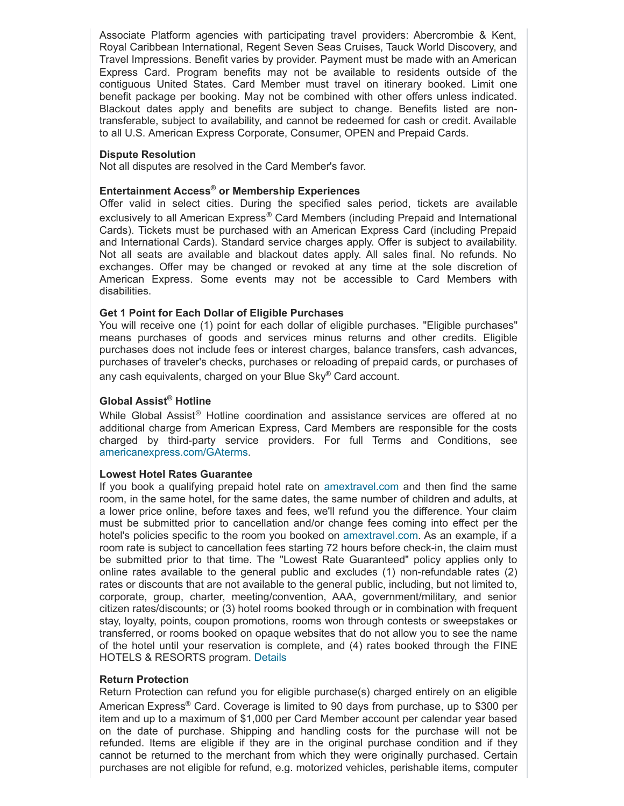Associate Platform agencies with participating travel providers: Abercrombie & Kent, Royal Caribbean International, Regent Seven Seas Cruises, Tauck World Discovery, and Travel Impressions. Benefit varies by provider. Payment must be made with an American Express Card. Program benefits may not be available to residents outside of the contiguous United States. Card Member must travel on itinerary booked. Limit one benefit package per booking. May not be combined with other offers unless indicated. Blackout dates apply and benefits are subject to change. Benefits listed are nontransferable, subject to availability, and cannot be redeemed for cash or credit. Available to all U.S. American Express Corporate, Consumer, OPEN and Prepaid Cards.

# **Dispute Resolution**

Not all disputes are resolved in the Card Member's favor.

# **Entertainment Access ® or Membership Experiences**

Offer valid in select cities. During the specified sales period, tickets are available exclusively to all American Express® Card Members (including Prepaid and International Cards). Tickets must be purchased with an American Express Card (including Prepaid and International Cards). Standard service charges apply. Offer is subject to availability. Not all seats are available and blackout dates apply. All sales final. No refunds. No exchanges. Offer may be changed or revoked at any time at the sole discretion of American Express. Some events may not be accessible to Card Members with disabilities.

# **Get 1 Point for Each Dollar of Eligible Purchases**

You will receive one (1) point for each dollar of eligible purchases. "Eligible purchases" means purchases of goods and services minus returns and other credits. Eligible purchases does not include fees or interest charges, balance transfers, cash advances, purchases of traveler's checks, purchases or reloading of prepaid cards, or purchases of any cash equivalents, charged on your Blue Sky® Card account.

# **Global Assist ® Hotline**

While Global Assist<sup>®</sup> Hotline coordination and assistance services are offered at no additional charge from American Express, Card Members are responsible for the costs charged by third-party service providers. For full Terms and Conditions, see [americanexpress.com/GAterms](http://www.americanexpress.com/GAterms).

# **Lowest Hotel Rates Guarantee**

If you book a qualifying prepaid hotel rate on [amextravel.com](https://travel.americanexpress.com/home) and then find the same room, in the same hotel, for the same dates, the same number of children and adults, at a lower price online, before taxes and fees, we'll refund you the difference. Your claim must be submitted prior to cancellation and/or change fees coming into effect per the hotel's policies specific to the room you booked on [amextravel.com.](https://travel.americanexpress.com/home) As an example, if a room rate is subject to cancellation fees starting 72 hours before check-in, the claim must be submitted prior to that time. The "Lowest Rate Guaranteed" policy applies only to online rates available to the general public and excludes  $(1)$  non-refundable rates  $(2)$ rates or discounts that are not available to the general public, including, but not limited to, corporate, group, charter, meeting/convention, AAA, government/military, and senior citizen rates/discounts; or (3) hotel rooms booked through or in combination with frequent stay, loyalty, points, coupon promotions, rooms won through contests or sweepstakes or transferred, or rooms booked on opaque websites that do not allow you to see the name of the hotel until your reservation is complete, and (4) rates booked through the FINE HOTELS & RESORTS program. [Details](https://travel.americanexpress.com/home)

# **Return Protection**

Return Protection can refund you for eligible purchase(s) charged entirely on an eligible American Express® Card. Coverage is limited to 90 days from purchase, up to \$300 per item and up to a maximum of \$1,000 per Card Member account per calendar year based on the date of purchase. Shipping and handling costs for the purchase will not be refunded. Items are eligible if they are in the original purchase condition and if they cannot be returned to the merchant from which they were originally purchased. Certain purchases are not eligible for refund, e.g. motorized vehicles, perishable items, computer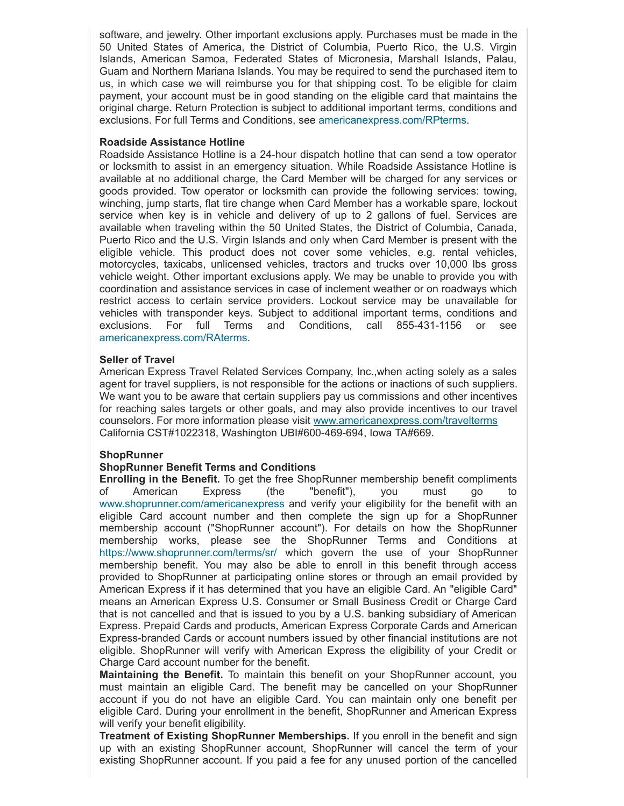software, and jewelry. Other important exclusions apply. Purchases must be made in the 50 United States of America, the District of Columbia, Puerto Rico, the U.S. Virgin Islands, American Samoa, Federated States of Micronesia, Marshall Islands, Palau, Guam and Northern Mariana Islands. You may be required to send the purchased item to us, in which case we will reimburse you for that shipping cost. To be eligible for claim payment, your account must be in good standing on the eligible card that maintains the original charge. Return Protection is subject to additional important terms, conditions and exclusions. For full Terms and Conditions, see [americanexpress.com/RPterms.](https://americanexpress.com/RPterms)

#### **Roadside Assistance Hotline**

Roadside Assistance Hotline is a 24hour dispatch hotline that can send a tow operator or locksmith to assist in an emergency situation. While Roadside Assistance Hotline is available at no additional charge, the Card Member will be charged for any services or goods provided. Tow operator or locksmith can provide the following services: towing, winching, jump starts, flat tire change when Card Member has a workable spare, lockout service when key is in vehicle and delivery of up to 2 gallons of fuel. Services are available when traveling within the 50 United States, the District of Columbia, Canada, Puerto Rico and the U.S. Virgin Islands and only when Card Member is present with the eligible vehicle. This product does not cover some vehicles, e.g. rental vehicles, motorcycles, taxicabs, unlicensed vehicles, tractors and trucks over 10,000 lbs gross vehicle weight. Other important exclusions apply. We may be unable to provide you with coordination and assistance services in case of inclement weather or on roadways which restrict access to certain service providers. Lockout service may be unavailable for vehicles with transponder keys. Subject to additional important terms, conditions and exclusions. For full Terms and Conditions, call 855-431-1156 or see [americanexpress.com/RAterms](https://americanexpress.com/RAterms).

#### **Seller of Travel**

American Express Travel Related Services Company, Inc.,when acting solely as a sales agent for travel suppliers, is not responsible for the actions or inactions of such suppliers. We want you to be aware that certain suppliers pay us commissions and other incentives for reaching sales targets or other goals, and may also provide incentives to our travel counselors. For more information please visit [www.americanexpress.com/travelterms](https://www.americanexpress.com/travelterms) California CST#1022318, Washington UBI#600-469-694, Iowa TA#669.

# **ShopRunner**

# **ShopRunner Benefit Terms and Conditions**

**Enrolling in the Benefit.** To get the free ShopRunner membership benefit compliments of American Express (the "benefit"), you must go to [www.shoprunner.com/americanexpress](https://www.shoprunner.com/americanexpress) and verify your eligibility for the benefit with an eligible Card account number and then complete the sign up for a ShopRunner membership account ("ShopRunner account"). For details on how the ShopRunner membership works, please see the ShopRunner Terms and Conditions at <https://www.shoprunner.com/terms/sr/> which govern the use of your ShopRunner membership benefit. You may also be able to enroll in this benefit through access provided to ShopRunner at participating online stores or through an email provided by American Express if it has determined that you have an eligible Card. An "eligible Card" means an American Express U.S. Consumer or Small Business Credit or Charge Card that is not cancelled and that is issued to you by a U.S. banking subsidiary of American Express. Prepaid Cards and products, American Express Corporate Cards and American Express-branded Cards or account numbers issued by other financial institutions are not eligible. ShopRunner will verify with American Express the eligibility of your Credit or Charge Card account number for the benefit.

**Maintaining the Benefit.** To maintain this benefit on your ShopRunner account, you must maintain an eligible Card. The benefit may be cancelled on your ShopRunner account if you do not have an eligible Card. You can maintain only one benefit per eligible Card. During your enrollment in the benefit, ShopRunner and American Express will verify your benefit eligibility.

**Treatment of Existing ShopRunner Memberships.** If you enroll in the benefit and sign up with an existing ShopRunner account, ShopRunner will cancel the term of your existing ShopRunner account. If you paid a fee for any unused portion of the cancelled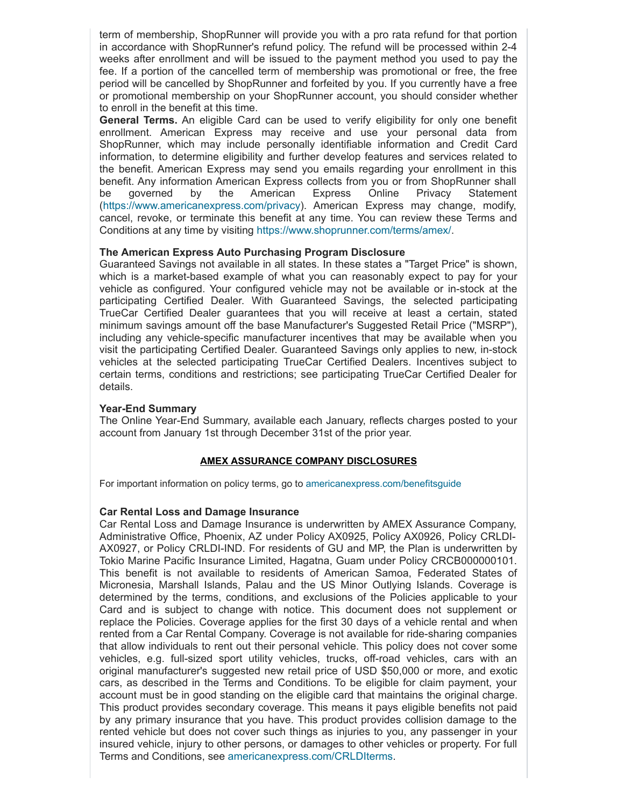term of membership, ShopRunner will provide you with a pro rata refund for that portion in accordance with ShopRunner's refund policy. The refund will be processed within 24 weeks after enrollment and will be issued to the payment method you used to pay the fee. If a portion of the cancelled term of membership was promotional or free, the free period will be cancelled by ShopRunner and forfeited by you. If you currently have a free or promotional membership on your ShopRunner account, you should consider whether to enroll in the benefit at this time.

**General Terms.** An eligible Card can be used to verify eligibility for only one benefit enrollment. American Express may receive and use your personal data from ShopRunner, which may include personally identifiable information and Credit Card information, to determine eligibility and further develop features and services related to the benefit. American Express may send you emails regarding your enrollment in this benefit. Any information American Express collects from you or from ShopRunner shall be governed by the American Express Online Privacy Statement [\(https://www.americanexpress.com/privacy](https://www.americanexpress.com/privacy)). American Express may change, modify, cancel, revoke, or terminate this benefit at any time. You can review these Terms and Conditions at any time by visiting [https://www.shoprunner.com/terms/amex/.](https://www.shoprunner.com/terms/amex/)

# **The American Express Auto Purchasing Program Disclosure**

Guaranteed Savings not available in all states. In these states a "Target Price" is shown, which is a market-based example of what you can reasonably expect to pay for your vehicle as configured. Your configured vehicle may not be available or in-stock at the participating Certified Dealer. With Guaranteed Savings, the selected participating TrueCar Certified Dealer guarantees that you will receive at least a certain, stated minimum savings amount off the base Manufacturer's Suggested Retail Price ("MSRP"), including any vehicle-specific manufacturer incentives that may be available when you visit the participating Certified Dealer. Guaranteed Savings only applies to new, in-stock vehicles at the selected participating TrueCar Certified Dealers. Incentives subject to certain terms, conditions and restrictions; see participating TrueCar Certified Dealer for details.

# **Year-End Summary**

The Online Year-End Summary, available each January, reflects charges posted to your account from January 1st through December 31st of the prior year.

# **AMEX ASSURANCE COMPANY DISCLOSURES**

For important information on policy terms, go to [americanexpress.com/benefitsguide](http://www.americanexpress.com/benefitsguide)

# **Car Rental Loss and Damage Insurance**

Car Rental Loss and Damage Insurance is underwritten by AMEX Assurance Company, Administrative Office, Phoenix, AZ under Policy AX0925, Policy AX0926, Policy CRLDI-AX0927, or Policy CRLDI-IND. For residents of GU and MP, the Plan is underwritten by Tokio Marine Pacific Insurance Limited, Hagatna, Guam under Policy CRCB000000101. This benefit is not available to residents of American Samoa, Federated States of Micronesia, Marshall Islands, Palau and the US Minor Outlying Islands. Coverage is determined by the terms, conditions, and exclusions of the Policies applicable to your Card and is subject to change with notice. This document does not supplement or replace the Policies. Coverage applies for the first 30 days of a vehicle rental and when rented from a Car Rental Company. Coverage is not available for ride-sharing companies that allow individuals to rent out their personal vehicle. This policy does not cover some vehicles, e.g. full-sized sport utility vehicles, trucks, off-road vehicles, cars with an original manufacturer's suggested new retail price of USD \$50,000 or more, and exotic cars, as described in the Terms and Conditions. To be eligible for claim payment, your account must be in good standing on the eligible card that maintains the original charge. This product provides secondary coverage. This means it pays eligible benefits not paid by any primary insurance that you have. This product provides collision damage to the rented vehicle but does not cover such things as injuries to you, any passenger in your insured vehicle, injury to other persons, or damages to other vehicles or property. For full Terms and Conditions, see [americanexpress.com/CRLDIterms.](https://americanexpress.com/CRLDIterms)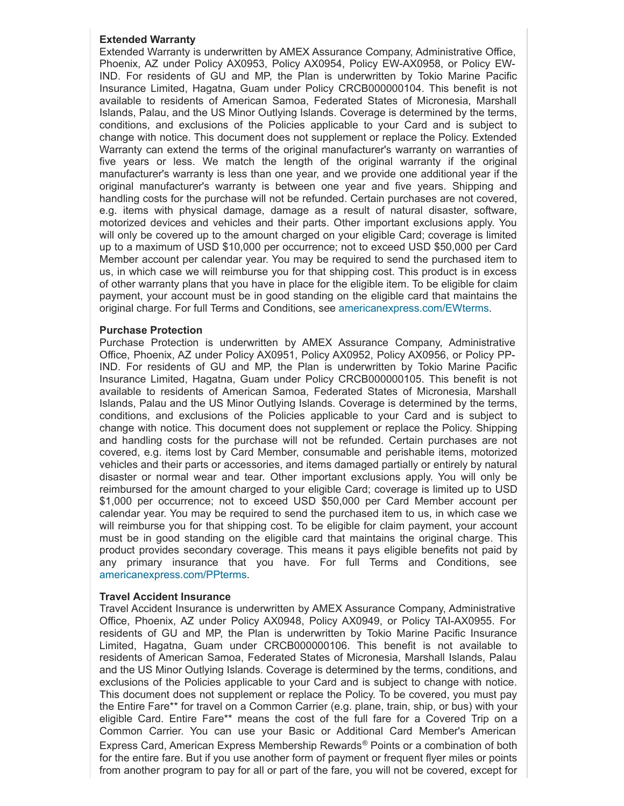# **Extended Warranty**

Extended Warranty is underwritten by AMEX Assurance Company, Administrative Office, Phoenix, AZ under Policy AX0953, Policy AX0954, Policy EW-AX0958, or Policy EW-IND. For residents of GU and MP, the Plan is underwritten by Tokio Marine Pacific Insurance Limited, Hagatna, Guam under Policy CRCB000000104. This benefit is not available to residents of American Samoa, Federated States of Micronesia, Marshall Islands, Palau, and the US Minor Outlying Islands. Coverage is determined by the terms, conditions, and exclusions of the Policies applicable to your Card and is subject to change with notice. This document does not supplement or replace the Policy. Extended Warranty can extend the terms of the original manufacturer's warranty on warranties of five years or less. We match the length of the original warranty if the original manufacturer's warranty is less than one year, and we provide one additional year if the original manufacturer's warranty is between one year and five years. Shipping and handling costs for the purchase will not be refunded. Certain purchases are not covered, e.g. items with physical damage, damage as a result of natural disaster, software, motorized devices and vehicles and their parts. Other important exclusions apply. You will only be covered up to the amount charged on your eligible Card; coverage is limited up to a maximum of USD \$10,000 per occurrence; not to exceed USD \$50,000 per Card Member account per calendar year. You may be required to send the purchased item to us, in which case we will reimburse you for that shipping cost. This product is in excess of other warranty plans that you have in place for the eligible item. To be eligible for claim payment, your account must be in good standing on the eligible card that maintains the original charge. For full Terms and Conditions, see [americanexpress.com/EWterms.](https://americanexpress.com/EWterms)

# **Purchase Protection**

Purchase Protection is underwritten by AMEX Assurance Company, Administrative Office, Phoenix, AZ under Policy AX0951, Policy AX0952, Policy AX0956, or Policy PP-IND. For residents of GU and MP, the Plan is underwritten by Tokio Marine Pacific Insurance Limited, Hagatna, Guam under Policy CRCB000000105. This benefit is not available to residents of American Samoa, Federated States of Micronesia, Marshall Islands, Palau and the US Minor Outlying Islands. Coverage is determined by the terms, conditions, and exclusions of the Policies applicable to your Card and is subject to change with notice. This document does not supplement or replace the Policy. Shipping and handling costs for the purchase will not be refunded. Certain purchases are not covered, e.g. items lost by Card Member, consumable and perishable items, motorized vehicles and their parts or accessories, and items damaged partially or entirely by natural disaster or normal wear and tear. Other important exclusions apply. You will only be reimbursed for the amount charged to your eligible Card; coverage is limited up to USD \$1,000 per occurrence; not to exceed USD \$50,000 per Card Member account per calendar year. You may be required to send the purchased item to us, in which case we will reimburse you for that shipping cost. To be eligible for claim payment, your account must be in good standing on the eligible card that maintains the original charge. This product provides secondary coverage. This means it pays eligible benefits not paid by any primary insurance that you have. For full Terms and Conditions, see [americanexpress.com/PPterms](http://www.americanexpress.com/PPterms).

# **Travel Accident Insurance**

Travel Accident Insurance is underwritten by AMEX Assurance Company, Administrative Office, Phoenix, AZ under Policy AX0948, Policy AX0949, or Policy TAI-AX0955. For residents of GU and MP, the Plan is underwritten by Tokio Marine Pacific Insurance Limited, Hagatna, Guam under CRCB000000106. This benefit is not available to residents of American Samoa, Federated States of Micronesia, Marshall Islands, Palau and the US Minor Outlying Islands. Coverage is determined by the terms, conditions, and exclusions of the Policies applicable to your Card and is subject to change with notice. This document does not supplement or replace the Policy. To be covered, you must pay the Entire Fare\*\* for travel on a Common Carrier (e.g. plane, train, ship, or bus) with your eligible Card. Entire Fare\*\* means the cost of the full fare for a Covered Trip on a Common Carrier. You can use your Basic or Additional Card Member's American Express Card, American Express Membership Rewards ® Points or a combination of both for the entire fare. But if you use another form of payment or frequent flyer miles or points from another program to pay for all or part of the fare, you will not be covered, except for